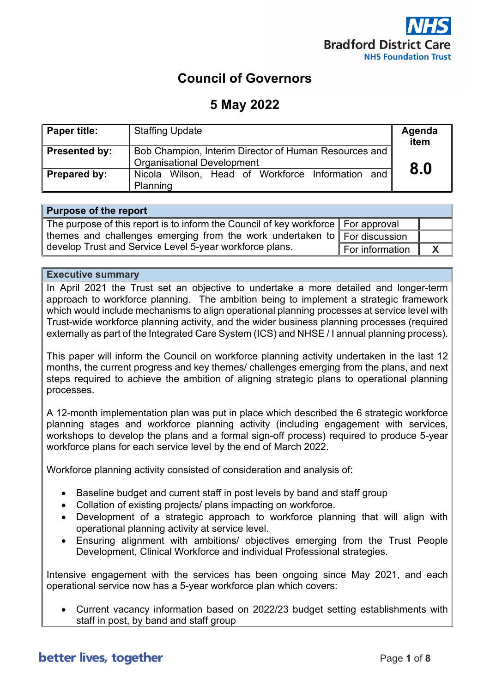

## **Council of Governors**

### **5 May 2022**

| <b>Paper title:</b>  | <b>Staffing Update</b>                                                                     | Agenda<br>item |
|----------------------|--------------------------------------------------------------------------------------------|----------------|
| <b>Presented by:</b> | Bob Champion, Interim Director of Human Resources and<br><b>Organisational Development</b> |                |
| Prepared by:         | Nicola Wilson, Head of Workforce Information and<br>Planning                               | 8.0            |

#### **Purpose of the report**

| The purpose of this report is to inform the Council of key workforce   For approval   |                 |  |
|---------------------------------------------------------------------------------------|-----------------|--|
| themes and challenges emerging from the work undertaken to $\parallel$ For discussion |                 |  |
| develop Trust and Service Level 5-year workforce plans.                               | For information |  |

#### **Executive summary**

In April 2021 the Trust set an objective to undertake a more detailed and longer-term approach to workforce planning. The ambition being to implement a strategic framework which would include mechanisms to align operational planning processes at service level with Trust-wide workforce planning activity, and the wider business planning processes (required externally as part of the Integrated Care System (ICS) and NHSE / I annual planning process).

This paper will inform the Council on workforce planning activity undertaken in the last 12 months, the current progress and key themes/ challenges emerging from the plans, and next steps required to achieve the ambition of aligning strategic plans to operational planning processes.

A 12-month implementation plan was put in place which described the 6 strategic workforce planning stages and workforce planning activity (including engagement with services, workshops to develop the plans and a formal sign-off process) required to produce 5-year workforce plans for each service level by the end of March 2022.

Workforce planning activity consisted of consideration and analysis of:

- Baseline budget and current staff in post levels by band and staff group
- Collation of existing projects/ plans impacting on workforce.
- Development of a strategic approach to workforce planning that will align with operational planning activity at service level.
- Ensuring alignment with ambitions/ objectives emerging from the Trust People Development, Clinical Workforce and individual Professional strategies.

Intensive engagement with the services has been ongoing since May 2021, and each operational service now has a 5-year workforce plan which covers:

• Current vacancy information based on 2022/23 budget setting establishments with staff in post, by band and staff group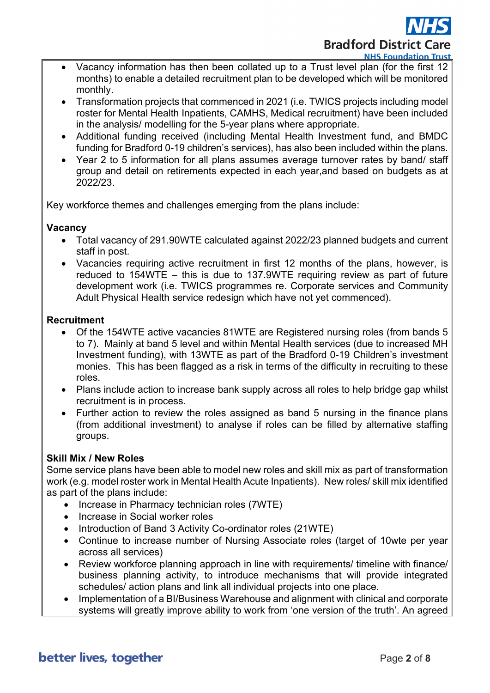# **Bradford District Care NHS Foundation Trust**

- Vacancy information has then been collated up to a Trust level plan (for the first 12 months) to enable a detailed recruitment plan to be developed which will be monitored monthly.
- Transformation projects that commenced in 2021 (i.e. TWICS projects including model roster for Mental Health Inpatients, CAMHS, Medical recruitment) have been included in the analysis/ modelling for the 5-year plans where appropriate.
- Additional funding received (including Mental Health Investment fund, and BMDC funding for Bradford 0-19 children's services), has also been included within the plans.
- Year 2 to 5 information for all plans assumes average turnover rates by band/ staff group and detail on retirements expected in each year,and based on budgets as at 2022/23.

Key workforce themes and challenges emerging from the plans include:

### **Vacancy**

- Total vacancy of 291.90WTE calculated against 2022/23 planned budgets and current staff in post.
- Vacancies requiring active recruitment in first 12 months of the plans, however, is reduced to 154WTE – this is due to 137.9WTE requiring review as part of future development work (i.e. TWICS programmes re. Corporate services and Community Adult Physical Health service redesign which have not yet commenced).

#### **Recruitment**

- Of the 154WTE active vacancies 81WTE are Registered nursing roles (from bands 5 to 7). Mainly at band 5 level and within Mental Health services (due to increased MH Investment funding), with 13WTE as part of the Bradford 0-19 Children's investment monies. This has been flagged as a risk in terms of the difficulty in recruiting to these roles.
- Plans include action to increase bank supply across all roles to help bridge gap whilst recruitment is in process.
- Further action to review the roles assigned as band 5 nursing in the finance plans (from additional investment) to analyse if roles can be filled by alternative staffing groups.

### **Skill Mix / New Roles**

Some service plans have been able to model new roles and skill mix as part of transformation work (e.g. model roster work in Mental Health Acute Inpatients). New roles/ skill mix identified as part of the plans include:

- Increase in Pharmacy technician roles (7WTE)
- Increase in Social worker roles
- Introduction of Band 3 Activity Co-ordinator roles (21WTE)
- Continue to increase number of Nursing Associate roles (target of 10wte per year across all services)
- Review workforce planning approach in line with requirements/ timeline with finance/ business planning activity, to introduce mechanisms that will provide integrated schedules/ action plans and link all individual projects into one place.
- Implementation of a BI/Business Warehouse and alignment with clinical and corporate systems will greatly improve ability to work from 'one version of the truth'. An agreed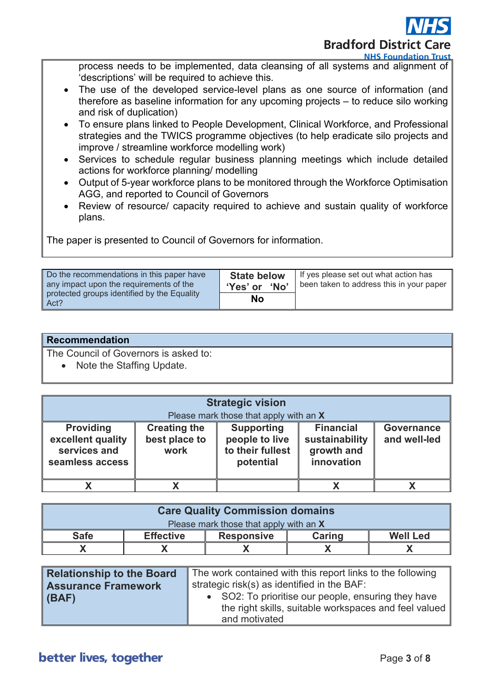**Bradford District Care** 

**NHS Foundation Trust** 

process needs to be implemented, data cleansing of all systems and alignment of 'descriptions' will be required to achieve this.

- The use of the developed service-level plans as one source of information (and therefore as baseline information for any upcoming projects – to reduce silo working and risk of duplication)
- To ensure plans linked to People Development, Clinical Workforce, and Professional strategies and the TWICS programme objectives (to help eradicate silo projects and improve / streamline workforce modelling work)
- Services to schedule regular business planning meetings which include detailed actions for workforce planning/ modelling
- Output of 5-year workforce plans to be monitored through the Workforce Optimisation AGG, and reported to Council of Governors
- Review of resource/ capacity required to achieve and sustain quality of workforce plans.

The paper is presented to Council of Governors for information.

| Do the recommendations in this paper have<br>any impact upon the requirements of the<br>protected groups identified by the Equality<br>Act? | <b>State below</b><br>'Yes' or 'No' | If yes please set out what action has<br>been taken to address this in your paper |
|---------------------------------------------------------------------------------------------------------------------------------------------|-------------------------------------|-----------------------------------------------------------------------------------|
|                                                                                                                                             | No                                  |                                                                                   |

| <b>Recommendation</b> |
|-----------------------|
|-----------------------|

The Council of Governors is asked to:

• Note the Staffing Update.

| <b>Strategic vision</b><br>Please mark those that apply with an X        |                                              |                                                                      |                                                                |                                   |
|--------------------------------------------------------------------------|----------------------------------------------|----------------------------------------------------------------------|----------------------------------------------------------------|-----------------------------------|
| <b>Providing</b><br>excellent quality<br>services and<br>seamless access | <b>Creating the</b><br>best place to<br>work | <b>Supporting</b><br>people to live<br>to their fullest<br>potential | <b>Financial</b><br>sustainability<br>growth and<br>innovation | <b>Governance</b><br>and well-led |
|                                                                          |                                              |                                                                      |                                                                |                                   |

| <b>Care Quality Commission domains</b> |                  |                   |               |                 |
|----------------------------------------|------------------|-------------------|---------------|-----------------|
| Please mark those that apply with an X |                  |                   |               |                 |
| <b>Safe</b>                            | <b>Effective</b> | <b>Responsive</b> | <b>Caring</b> | <b>Well Led</b> |
|                                        |                  |                   |               |                 |

| The work contained with this report links to the following                                                   |  |
|--------------------------------------------------------------------------------------------------------------|--|
| strategic risk(s) as identified in the BAF:                                                                  |  |
| • SO2: To prioritise our people, ensuring they have<br>the right skills, suitable workspaces and feel valued |  |
| and motivated                                                                                                |  |
|                                                                                                              |  |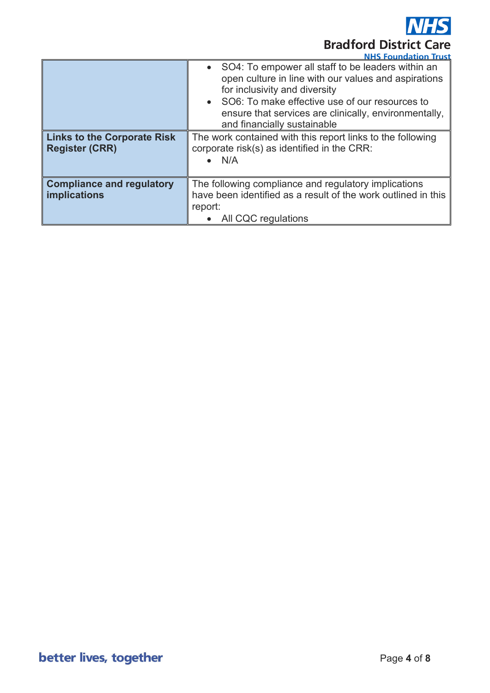**Bradford District Care** 

|                                                             | <b>NHS Foundation Trust</b>                                                                                                                                                                                                                                                                         |  |
|-------------------------------------------------------------|-----------------------------------------------------------------------------------------------------------------------------------------------------------------------------------------------------------------------------------------------------------------------------------------------------|--|
|                                                             | • SO4: To empower all staff to be leaders within an<br>open culture in line with our values and aspirations<br>for inclusivity and diversity<br>SO6: To make effective use of our resources to<br>$\bullet$<br>ensure that services are clinically, environmentally,<br>and financially sustainable |  |
| <b>Links to the Corporate Risk</b><br><b>Register (CRR)</b> | The work contained with this report links to the following<br>corporate risk(s) as identified in the CRR:<br>$\bullet$ N/A                                                                                                                                                                          |  |
| <b>Compliance and regulatory</b><br>implications            | The following compliance and regulatory implications<br>have been identified as a result of the work outlined in this<br>report:<br>All CQC regulations                                                                                                                                             |  |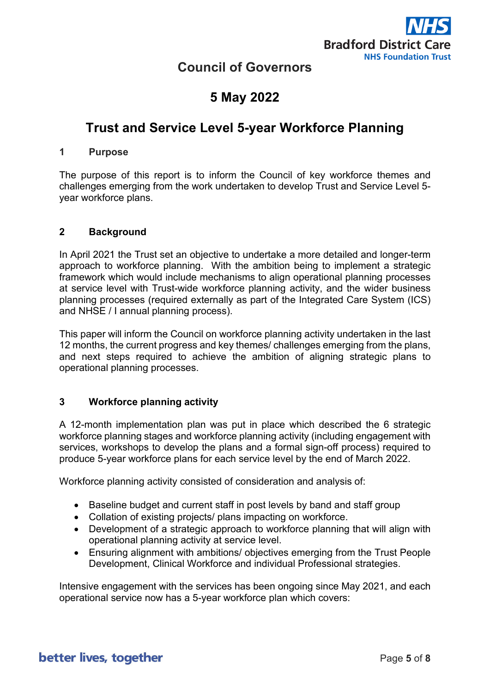

### **Council of Governors**

# **5 May 2022**

# **Trust and Service Level 5-year Workforce Planning**

#### **1 Purpose**

The purpose of this report is to inform the Council of key workforce themes and challenges emerging from the work undertaken to develop Trust and Service Level 5 year workforce plans.

#### **2 Background**

In April 2021 the Trust set an objective to undertake a more detailed and longer-term approach to workforce planning. With the ambition being to implement a strategic framework which would include mechanisms to align operational planning processes at service level with Trust-wide workforce planning activity, and the wider business planning processes (required externally as part of the Integrated Care System (ICS) and NHSE / I annual planning process).

This paper will inform the Council on workforce planning activity undertaken in the last 12 months, the current progress and key themes/ challenges emerging from the plans, and next steps required to achieve the ambition of aligning strategic plans to operational planning processes.

#### **3 Workforce planning activity**

A 12-month implementation plan was put in place which described the 6 strategic workforce planning stages and workforce planning activity (including engagement with services, workshops to develop the plans and a formal sign-off process) required to produce 5-year workforce plans for each service level by the end of March 2022.

Workforce planning activity consisted of consideration and analysis of:

- Baseline budget and current staff in post levels by band and staff group
- Collation of existing projects/ plans impacting on workforce.
- Development of a strategic approach to workforce planning that will align with operational planning activity at service level.
- Ensuring alignment with ambitions/ objectives emerging from the Trust People Development, Clinical Workforce and individual Professional strategies.

Intensive engagement with the services has been ongoing since May 2021, and each operational service now has a 5-year workforce plan which covers: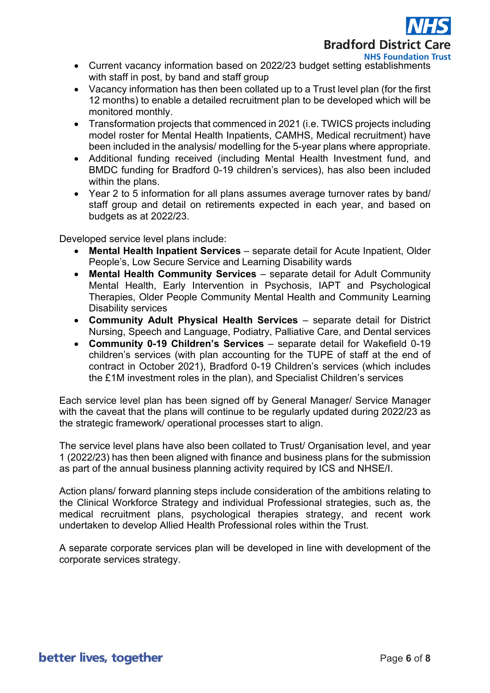

- Current vacancy information based on 2022/23 budget setting establishments with staff in post, by band and staff group
- Vacancy information has then been collated up to a Trust level plan (for the first 12 months) to enable a detailed recruitment plan to be developed which will be monitored monthly.
- Transformation projects that commenced in 2021 (i.e. TWICS projects including model roster for Mental Health Inpatients, CAMHS, Medical recruitment) have been included in the analysis/ modelling for the 5-year plans where appropriate.
- Additional funding received (including Mental Health Investment fund, and BMDC funding for Bradford 0-19 children's services), has also been included within the plans.
- Year 2 to 5 information for all plans assumes average turnover rates by band/ staff group and detail on retirements expected in each year, and based on budgets as at 2022/23.

Developed service level plans include:

- **Mental Health Inpatient Services** separate detail for Acute Inpatient, Older People's, Low Secure Service and Learning Disability wards
- **Mental Health Community Services** separate detail for Adult Community Mental Health, Early Intervention in Psychosis, IAPT and Psychological Therapies, Older People Community Mental Health and Community Learning Disability services
- **Community Adult Physical Health Services**  separate detail for District Nursing, Speech and Language, Podiatry, Palliative Care, and Dental services
- **Community 0-19 Children's Services**  separate detail for Wakefield 0-19 children's services (with plan accounting for the TUPE of staff at the end of contract in October 2021), Bradford 0-19 Children's services (which includes the £1M investment roles in the plan), and Specialist Children's services

Each service level plan has been signed off by General Manager/ Service Manager with the caveat that the plans will continue to be regularly updated during 2022/23 as the strategic framework/ operational processes start to align.

The service level plans have also been collated to Trust/ Organisation level, and year 1 (2022/23) has then been aligned with finance and business plans for the submission as part of the annual business planning activity required by ICS and NHSE/I.

Action plans/ forward planning steps include consideration of the ambitions relating to the Clinical Workforce Strategy and individual Professional strategies, such as, the medical recruitment plans, psychological therapies strategy, and recent work undertaken to develop Allied Health Professional roles within the Trust.

A separate corporate services plan will be developed in line with development of the corporate services strategy.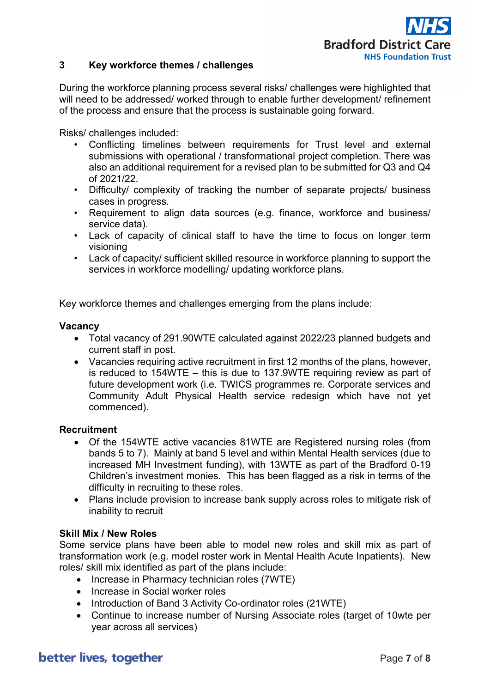

#### **3 Key workforce themes / challenges**

During the workforce planning process several risks/ challenges were highlighted that will need to be addressed/ worked through to enable further development/ refinement of the process and ensure that the process is sustainable going forward.

Risks/ challenges included:

- Conflicting timelines between requirements for Trust level and external submissions with operational / transformational project completion. There was also an additional requirement for a revised plan to be submitted for Q3 and Q4 of 2021/22.
- Difficulty/ complexity of tracking the number of separate projects/ business cases in progress.
- Requirement to align data sources (e.g. finance, workforce and business/ service data).
- Lack of capacity of clinical staff to have the time to focus on longer term visioning
- Lack of capacity/ sufficient skilled resource in workforce planning to support the services in workforce modelling/ updating workforce plans.

Key workforce themes and challenges emerging from the plans include:

#### **Vacancy**

- Total vacancy of 291.90WTE calculated against 2022/23 planned budgets and current staff in post.
- Vacancies requiring active recruitment in first 12 months of the plans, however, is reduced to 154WTE – this is due to 137.9WTE requiring review as part of future development work (i.e. TWICS programmes re. Corporate services and Community Adult Physical Health service redesign which have not yet commenced).

#### **Recruitment**

- Of the 154WTE active vacancies 81WTE are Registered nursing roles (from bands 5 to 7). Mainly at band 5 level and within Mental Health services (due to increased MH Investment funding), with 13WTE as part of the Bradford 0-19 Children's investment monies. This has been flagged as a risk in terms of the difficulty in recruiting to these roles.
- Plans include provision to increase bank supply across roles to mitigate risk of inability to recruit

#### **Skill Mix / New Roles**

Some service plans have been able to model new roles and skill mix as part of transformation work (e.g. model roster work in Mental Health Acute Inpatients). New roles/ skill mix identified as part of the plans include:

- Increase in Pharmacy technician roles (7WTE)
- Increase in Social worker roles
- Introduction of Band 3 Activity Co-ordinator roles (21WTE)
- Continue to increase number of Nursing Associate roles (target of 10wte per year across all services)

### better lives, together